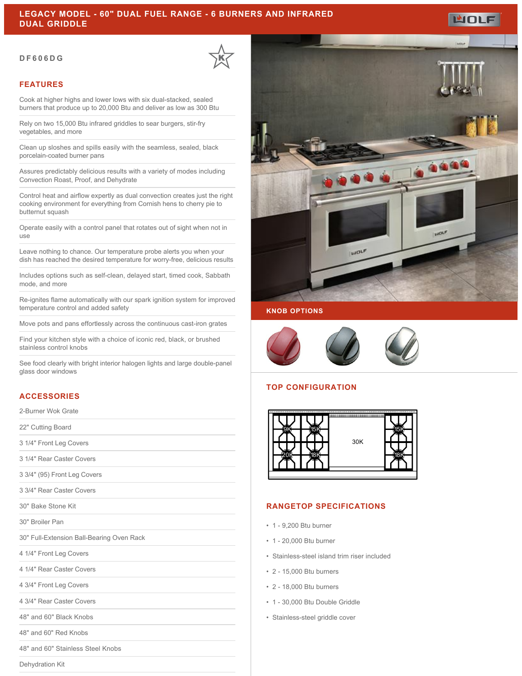#### **DF606DG**

# **FEATURES**

Cook at higher highs and lower lows with six dual-stacked, sealed burners that produce up to 20,000 Btu and deliver as low as 300 Btu

Rely on two 15,000 Btu infrared griddles to sear burgers, stir-fry vegetables, and more

Clean up sloshes and spills easily with the seamless, sealed, black porcelain-coated burner pans

Assures predictably delicious results with a variety of modes including Convection Roast, Proof, and Dehydrate

Control heat and airflow expertly as dual convection creates just the right cooking environment for everything from Cornish hens to cherry pie to butternut squash

Operate easily with a control panel that rotates out of sight when not in use

Leave nothing to chance. Our temperature probe alerts you when your dish has reached the desired temperature for worry-free, delicious results

Includes options such as self-clean, delayed start, timed cook, Sabbath mode, and more

Re-ignites flame automatically with our spark ignition system for improved temperature control and added safety

Move pots and pans effortlessly across the continuous cast-iron grates

Find your kitchen style with a choice of iconic red, black, or brushed stainless control knobs

See food clearly with bright interior halogen lights and large double-panel glass door windows

### **ACCESSORIES**

2-Burner Wok Grate

22" Cutting Board

3 1/4" Front Leg Covers

3 1/4" Rear Caster Covers

3 3/4" (95) Front Leg Covers

3 3/4" Rear Caster Covers

30" Bake Stone Kit

30" Broiler Pan

30" Full-Extension Ball-Bearing Oven Rack

4 1/4" Front Leg Covers

4 1/4" Rear Caster Covers

4 3/4" Front Leg Covers

4 3/4" Rear Caster Covers

48" and 60" Black Knobs

48" and 60" Red Knobs

48" and 60" Stainless Steel Knobs

Dehydration Kit



#### **KNOB OPTIONS**



## **TOP CONFIGURATION**



#### **RANGETOP SPECIFICATIONS**

- 1 9,200 Btu burner
- 1 20,000 Btu burner
- Stainless-steel island trim riser included
- 2 15,000 Btu burners
- 2 18,000 Btu burners
- 1 30,000 Btu Double Griddle
- Stainless-steel griddle cover



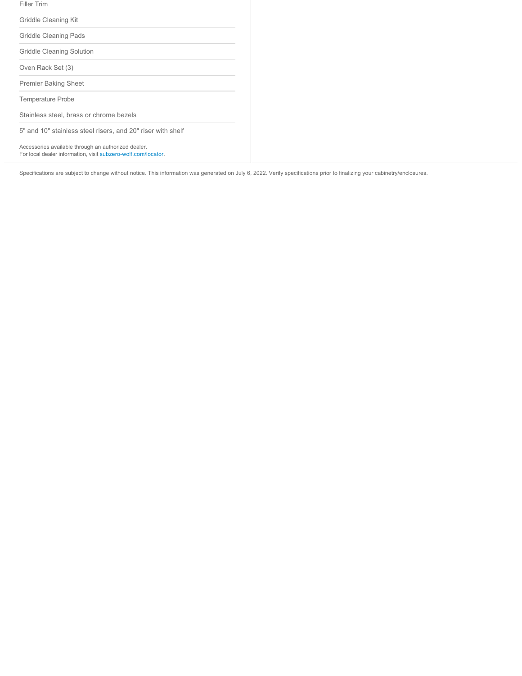| Filler Trim                                                                                                          |
|----------------------------------------------------------------------------------------------------------------------|
| Griddle Cleaning Kit                                                                                                 |
| Griddle Cleaning Pads                                                                                                |
| Griddle Cleaning Solution                                                                                            |
| Oven Rack Set (3)                                                                                                    |
| <b>Premier Baking Sheet</b>                                                                                          |
| <b>Temperature Probe</b>                                                                                             |
| Stainless steel, brass or chrome bezels                                                                              |
| 5" and 10" stainless steel risers, and 20" riser with shelf                                                          |
| Accessories available through an authorized dealer.<br>For local dealer information, visit subzero-wolf.com/locator. |

Specifications are subject to change without notice. This information was generated on July 6, 2022. Verify specifications prior to finalizing your cabinetry/enclosures.